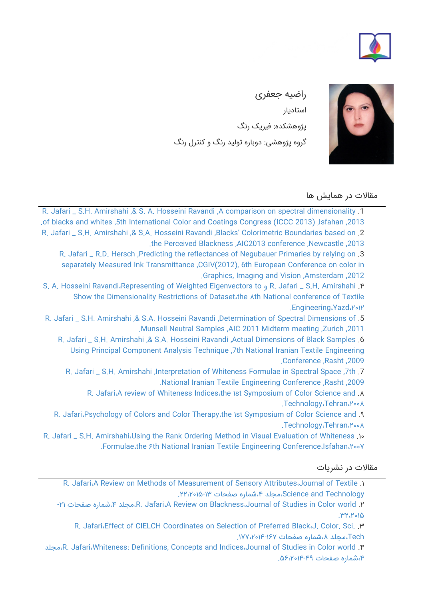



راضیه جعفری استادیار پژوهشکده: فیزیک رنگ گروه پژوهشی: دوباره تولید رنگ و کنترل رنگ

مقالات در همایش ها

[R. Jafari \\_ S.H. Amirshahi ,& S. A. Hosseini Ravandi ,A comparison on spectral dimensionality](https://faculty.icrc.ac.ir/razieh-jafari/fa/articlesInConferences/117/a-comparison-on-spectral-dimensionality-of-blacks-and-whites) .1 [.of blacks and whites ,5th International Color and Coatings Congress \(ICCC 2013\) ,Isfahan ,2013](https://faculty.icrc.ac.ir/razieh-jafari/fa/articlesInConferences/117/a-comparison-on-spectral-dimensionality-of-blacks-and-whites) [R. Jafari \\_ S.H. Amirshahi ,& S.A. Hosseini Ravandi ,Blacks' Colorimetric Boundaries based on](https://faculty.icrc.ac.ir/razieh-jafari/fa/articlesInConferences/116/blacks-colorimetric-boundaries-based-on-the-perceived-blackness) .2 [.the Perceived Blackness ,AIC2013 conference ,Newcastle ,2013](https://faculty.icrc.ac.ir/razieh-jafari/fa/articlesInConferences/116/blacks-colorimetric-boundaries-based-on-the-perceived-blackness) [R. Jafari \\_ R.D. Hersch ,Predicting the reflectances of Negubauer Primaries by relying on](https://faculty.icrc.ac.ir/razieh-jafari/fa/articlesInConferences/115/predicting-the-reflectances-of-negubauer-primaries-by-relying-on-separately-measured-ink-transmittance) .3 [separately Measured Ink Transmittance ,CGIV\(2012\), 6th European Conference on color in](https://faculty.icrc.ac.ir/razieh-jafari/fa/articlesInConferences/115/predicting-the-reflectances-of-negubauer-primaries-by-relying-on-separately-measured-ink-transmittance) [.Graphics, Imaging and Vision ,Amsterdam ,2012](https://faculty.icrc.ac.ir/razieh-jafari/fa/articlesInConferences/115/predicting-the-reflectances-of-negubauer-primaries-by-relying-on-separately-measured-ink-transmittance) [S. A. Hosseini Ravandi،Representing of Weighted Eigenvectors to و R. Jafari \\_ S.H. Amirshahi](https://faculty.icrc.ac.ir/razieh-jafari/fa/articlesInConferences/114/representing-of-weighted-eigenvectors-to-show-the-dimensionality-restrictions-of-dataset) .۴ [Show the Dimensionality Restrictions of Dataset،the ۸th National conference of Textile](https://faculty.icrc.ac.ir/razieh-jafari/fa/articlesInConferences/114/representing-of-weighted-eigenvectors-to-show-the-dimensionality-restrictions-of-dataset) [.Engineering،Yazd،۲۰۱۲](https://faculty.icrc.ac.ir/razieh-jafari/fa/articlesInConferences/114/representing-of-weighted-eigenvectors-to-show-the-dimensionality-restrictions-of-dataset) [R. Jafari \\_ S.H. Amirshahi ,& S.A. Hosseini Ravandi ,Determination of Spectral Dimensions of](https://faculty.icrc.ac.ir/razieh-jafari/fa/articlesInConferences/113/determination-of-spectral-dimensions-of-munsell-neutral-samples) .5

[.Munsell Neutral Samples ,AIC 2011 Midterm meeting ,Zurich ,2011](https://faculty.icrc.ac.ir/razieh-jafari/fa/articlesInConferences/113/determination-of-spectral-dimensions-of-munsell-neutral-samples) [R. Jafari \\_ S.H. Amirshahi ,& S.A. Hosseini Ravandi ,Actual Dimensions of Black Samples](https://faculty.icrc.ac.ir/razieh-jafari/fa/articlesInConferences/112/actual-dimensions-of-black-samples-using-principal-component-analysis-technique) .6 [Using Principal Component Analysis Technique ,7th National Iranian Textile Engineering](https://faculty.icrc.ac.ir/razieh-jafari/fa/articlesInConferences/112/actual-dimensions-of-black-samples-using-principal-component-analysis-technique) [.Conference ,Rasht ,2009](https://faculty.icrc.ac.ir/razieh-jafari/fa/articlesInConferences/112/actual-dimensions-of-black-samples-using-principal-component-analysis-technique)

R. Jafari \_ S.H. Amirshahi , Interpretation of Whiteness Formulae in Spectral Space ,7th .7 [.National Iranian Textile Engineering Conference ,Rasht ,2009](https://faculty.icrc.ac.ir/razieh-jafari/fa/articlesInConferences/111/interpretation-of-whiteness-formulae-in-spectral-space)

[R. Jafari،A review of Whiteness Indices،the ۱st Symposium of Color Science and](https://faculty.icrc.ac.ir/razieh-jafari/fa/articlesInConferences/110/a-review-of-whiteness-indices) .۸ [.Technology،Tehran،۲۰۰۸](https://faculty.icrc.ac.ir/razieh-jafari/fa/articlesInConferences/110/a-review-of-whiteness-indices)

[R. Jafari،Psychology of Colors and Color Therapy،the ۱st Symposium of Color Science and](https://faculty.icrc.ac.ir/razieh-jafari/fa/articlesInConferences/109/psychology-of-colors-and-color-therapy) .۹ [.Technology،Tehran،۲۰۰۸](https://faculty.icrc.ac.ir/razieh-jafari/fa/articlesInConferences/109/psychology-of-colors-and-color-therapy)

[R. Jafari \\_ S.H. Amirshahi،Using the Rank Ordering Method in Visual Evaluation of Whiteness](https://faculty.icrc.ac.ir/razieh-jafari/fa/articlesInConferences/108/using-the-rank-ordering-method-in-visual-evaluation-of-whiteness-formulae) .۱۰ [.Formulae،the ۶th National Iranian Textile Engineering Conference،Isfahan،۲۰۰۷](https://faculty.icrc.ac.ir/razieh-jafari/fa/articlesInConferences/108/using-the-rank-ordering-method-in-visual-evaluation-of-whiteness-formulae)

مقالات در نشریات

[R. Jafari،A Review on Methods of Measurement of Sensory Attributes،Journal of Textile](https://faculty.icrc.ac.ir/razieh-jafari/fa/articlesInPublications/843/a-review-on-methods-of-measurement-of-sensory-attributes) .۱ [Technology and Science،مجلد ،۴شماره صفحات .۲۲،۲۰۱۵-۱۳](https://faculty.icrc.ac.ir/razieh-jafari/fa/articlesInPublications/843/a-review-on-methods-of-measurement-of-sensory-attributes)

[-۲۱ صفحات شماره،۴ مجلد،R. Jafari،A Review on Blackness،Journal of Studies in Color world](https://faculty.icrc.ac.ir/razieh-jafari/fa/articlesInPublications/842/a-review-on-blackness) .۲ [.۳۲،۲۰۱۵](https://faculty.icrc.ac.ir/razieh-jafari/fa/articlesInPublications/842/a-review-on-blackness)

[R. Jafari،Effect of CIELCH Coordinates on Selection of Preferred Black،J. Color. Sci.](https://faculty.icrc.ac.ir/razieh-jafari/fa/articlesInPublications/844/effect-of-cielch-coordinates-on-selection-of-preferred-black) .۳ [Tech،مجلد ،۸شماره صفحات .۱۷۷،۲۰۱۴-۱۶۷](https://faculty.icrc.ac.ir/razieh-jafari/fa/articlesInPublications/844/effect-of-cielch-coordinates-on-selection-of-preferred-black)

[مجلد،R. Jafari،Whiteness: Definitions, Concepts and Indices،Journal of Studies in Color world](https://faculty.icrc.ac.ir/razieh-jafari/fa/articlesInPublications/841/whiteness-definitions-concepts-and-indices) .۴ [،۴شماره صفحات .۵۶،۲۰۱۴-۴۹](https://faculty.icrc.ac.ir/razieh-jafari/fa/articlesInPublications/841/whiteness-definitions-concepts-and-indices)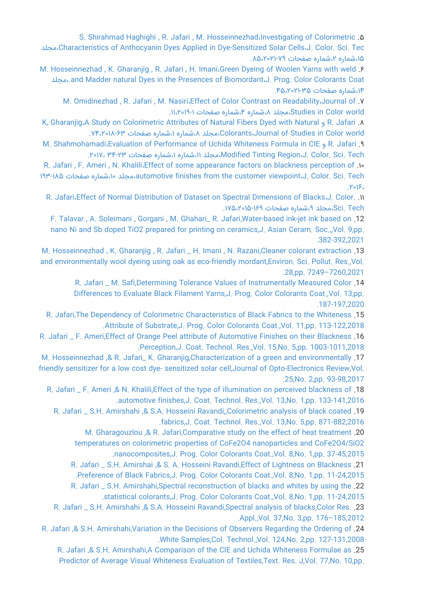[S. Shirahmad Haghighi , R. Jafari , M. Hosseinnezhad،Investigating of Colorimetric](https://faculty.icrc.ac.ir/razieh-jafari/fa/articlesInPublications/850/investigating-of-colorimetric-characteristics-of-anthocyanin-dyes-applied-in-dye-sensitized-solar-cells) .۵ [مجلد،Characteristics of Anthocyanin Dyes Applied in Dye-Sensitized Solar Cells،J. Color. Sci. Tec](https://faculty.icrc.ac.ir/razieh-jafari/fa/articlesInPublications/850/investigating-of-colorimetric-characteristics-of-anthocyanin-dyes-applied-in-dye-sensitized-solar-cells) [،۱۵شماره ،۲شماره صفحات .۸۵،۲۰۲۱-۷۹](https://faculty.icrc.ac.ir/razieh-jafari/fa/articlesInPublications/850/investigating-of-colorimetric-characteristics-of-anthocyanin-dyes-applied-in-dye-sensitized-solar-cells)

M. Hosseinnezhad, K. Gharanjig, R. Jafari, H. Imani، Green Dyeing of Woolen Yarns with weld . S [مجلد،.and Madder natural Dyes in the Presences of Biomordant،J. Prog. Color Colorants Coat](https://faculty.icrc.ac.ir/razieh-jafari/fa/articlesInPublications/831/green-dyeing-of-woolen-yarns-with-weld-and-madder-natural-dyes-in-the-presences-of-biomordant) [،۱۴شماره صفحات .۴۵،۲۰۲۱-۳۵](https://faculty.icrc.ac.ir/razieh-jafari/fa/articlesInPublications/831/green-dyeing-of-woolen-yarns-with-weld-and-madder-natural-dyes-in-the-presences-of-biomordant)

[M. Omidinezhad , R. Jafari , M. Nasiri،Effect of Color Contrast on Readability،Journal of](https://faculty.icrc.ac.ir/razieh-jafari/fa/articlesInPublications/846/effect-of-color-contrast-on-readability) .۷ [world Color in Studies،مجلد ،۸شماره ،۴شماره صفحات .۱۱،۲۰۱۹-۱](https://faculty.icrc.ac.ir/razieh-jafari/fa/articlesInPublications/846/effect-of-color-contrast-on-readability)

[K, Gharanjig،A Study on Colorimetric Attributes of Natural Fibers Dyed with Natural و R. Jafari](https://faculty.icrc.ac.ir/razieh-jafari/fa/articlesInPublications/845/a-study-on-colorimetric-attributes-of-natural-fibers-dyed-with-natural-colorants) .۸ [.۷۴،۲۰۱۸-۶۳ صفحات شماره،۱ شماره،۸ مجلد،Colorants،Journal of Studies in Color world](https://faculty.icrc.ac.ir/razieh-jafari/fa/articlesInPublications/845/a-study-on-colorimetric-attributes-of-natural-fibers-dyed-with-natural-colorants)

[M. Shahmohamadi،Evaluation of Performance of Uchida Whiteness Formula in CIE و R. Jafari](https://faculty.icrc.ac.ir/razieh-jafari/fa/articlesInPublications/849/evaluation-of-performance-of-uchida-whiteness-formula-in-cie-modified-tinting-region) .۹ [.۲۰۱۷، ۳۴-۲۳ صفحات شماره،۱ شماره،۱۱ مجلد،Modified Tinting Region،J. Color. Sci. Tech](https://faculty.icrc.ac.ir/razieh-jafari/fa/articlesInPublications/849/evaluation-of-performance-of-uchida-whiteness-formula-in-cie-modified-tinting-region)

[R. Jafari , F. Ameri , N. Khalili،Effect of some appearance factors on blackness perception of](https://faculty.icrc.ac.ir/razieh-jafari/fa/articlesInPublications/848/effect-of-some-appearance-factors-on-blackness-perception-of-automotive-finishes-from-the-customer-viewpoint) .۱۰ [۱۹۳-۱۸۵ صفحات شماره،۱۰ مجلد،automotive finishes from the customer viewpoint،J. Color. Sci. Tech](https://faculty.icrc.ac.ir/razieh-jafari/fa/articlesInPublications/848/effect-of-some-appearance-factors-on-blackness-perception-of-automotive-finishes-from-the-customer-viewpoint) [.۲۰۱۶،](https://faculty.icrc.ac.ir/razieh-jafari/fa/articlesInPublications/848/effect-of-some-appearance-factors-on-blackness-perception-of-automotive-finishes-from-the-customer-viewpoint)

[R. Jafari،Effect of Normal Distribution of Dataset on Spectral Dimensions of Blacks،J. Color.](https://faculty.icrc.ac.ir/razieh-jafari/fa/articlesInPublications/847/effect-of-normal-distribution-of-dataset-on-spectral-dimensions-of-blacks) .۱۱ [Tech .Sci،مجلد ،۹شماره صفحات .۱۷۵،۲۰۱۵-۱۶۹](https://faculty.icrc.ac.ir/razieh-jafari/fa/articlesInPublications/847/effect-of-normal-distribution-of-dataset-on-spectral-dimensions-of-blacks)

[F. Talavar , A. Soleimani , Gorgani , M. Ghahari\\_ R. Jafari,Water-based ink-jet ink based on](https://faculty.icrc.ac.ir/razieh-jafari/fa/articlesInPublications/864/water-based-ink-jet-ink-based-on-nano-ni-and-sb-doped-tio2-prepared-for-printing-on-ceramics) .12 [nano Ni and Sb doped TiO2 prepared for printing on ceramics,J. Asian Ceram. Soc.,,Vol. 9,pp.](https://faculty.icrc.ac.ir/razieh-jafari/fa/articlesInPublications/864/water-based-ink-jet-ink-based-on-nano-ni-and-sb-doped-tio2-prepared-for-printing-on-ceramics) [.382-392,2021](https://faculty.icrc.ac.ir/razieh-jafari/fa/articlesInPublications/864/water-based-ink-jet-ink-based-on-nano-ni-and-sb-doped-tio2-prepared-for-printing-on-ceramics)

[M. Hosseinnezhad , K. Gharanjig , R. Jafari \\_ H. Imani , N. Razani,Cleaner colorant extraction](https://faculty.icrc.ac.ir/razieh-jafari/fa/articlesInPublications/863/cleaner-colorant-extraction-and-environmentally-wool-dyeing-using-oak-as-eco-friendly-mordant) .13 [and environmentally wool dyeing using oak as eco-friendly mordant,Environ. Sci. Pollut. Res.,Vol.](https://faculty.icrc.ac.ir/razieh-jafari/fa/articlesInPublications/863/cleaner-colorant-extraction-and-environmentally-wool-dyeing-using-oak-as-eco-friendly-mordant) [.28,pp. 7249–7260,2021](https://faculty.icrc.ac.ir/razieh-jafari/fa/articlesInPublications/863/cleaner-colorant-extraction-and-environmentally-wool-dyeing-using-oak-as-eco-friendly-mordant)

[R. Jafari \\_ M. Safi,Determining Tolerance Values of Instrumentally Measured Color](https://faculty.icrc.ac.ir/razieh-jafari/fa/articlesInPublications/862/determining-tolerance-values-of-instrumentally-measured-color-differences-to-evaluate-black-filament-yarns) .14 [Differences to Evaluate Black Filament Yarns,J. Prog. Color Colorants Coat.,Vol. 13,pp.](https://faculty.icrc.ac.ir/razieh-jafari/fa/articlesInPublications/862/determining-tolerance-values-of-instrumentally-measured-color-differences-to-evaluate-black-filament-yarns) [.187-197,2020](https://faculty.icrc.ac.ir/razieh-jafari/fa/articlesInPublications/862/determining-tolerance-values-of-instrumentally-measured-color-differences-to-evaluate-black-filament-yarns)

[R. Jafari,The Dependency of Colorimetric Characteristics of Black Fabrics to the Whiteness](https://faculty.icrc.ac.ir/razieh-jafari/fa/articlesInPublications/860/the-dependency-of-colorimetric-characteristics-of-black-fabrics-to-the-whiteness-attribute-of-substrate) .15 [.Attribute of Substrate,J. Prog. Color Colorants Coat.,Vol. 11,pp. 113-122,2018](https://faculty.icrc.ac.ir/razieh-jafari/fa/articlesInPublications/860/the-dependency-of-colorimetric-characteristics-of-black-fabrics-to-the-whiteness-attribute-of-substrate)

[R. Jafari \\_ F. Ameri,Effect of Orange Peel attribute of Automotive Finishes on their Blackness](https://faculty.icrc.ac.ir/razieh-jafari/fa/articlesInPublications/861/effect-of-orange-peel-attribute-of-automotive-finishes-on-their-blackness-perception) .16 [.Perception,J. Coat. Technol. Res.,Vol. 15,No. 5,pp. 1003-1011,2018](https://faculty.icrc.ac.ir/razieh-jafari/fa/articlesInPublications/861/effect-of-orange-peel-attribute-of-automotive-finishes-on-their-blackness-perception)

[M. Hosseinnezhad ,& R. Jafari\\_ K. Gharanjig,Characterization of a green and environmentally](https://faculty.icrc.ac.ir/razieh-jafari/fa/articlesInPublications/859/characterization-of-a-green-and-environmentally-friendly-sensitizer-for-a-low-cost-dye-sensitized-solar-cell) .17 [friendly sensitizer for a low cost dye- sensitized solar cell,Journal of Opto-Electronics Review,Vol.](https://faculty.icrc.ac.ir/razieh-jafari/fa/articlesInPublications/859/characterization-of-a-green-and-environmentally-friendly-sensitizer-for-a-low-cost-dye-sensitized-solar-cell) [.25,No. 2,pp. 93-98,2017](https://faculty.icrc.ac.ir/razieh-jafari/fa/articlesInPublications/859/characterization-of-a-green-and-environmentally-friendly-sensitizer-for-a-low-cost-dye-sensitized-solar-cell)

[R. Jafari \\_ F. Ameri ,& N. Khalili,Effect of the type of illumination on perceived blackness of](https://faculty.icrc.ac.ir/razieh-jafari/fa/articlesInPublications/857/effect-of-the-type-of-illumination-on-perceived-blackness-of-automotive-finishes) .18 [.automotive finishes,J. Coat. Technol. Res.,Vol. 13,No. 1,pp. 133-141,2016](https://faculty.icrc.ac.ir/razieh-jafari/fa/articlesInPublications/857/effect-of-the-type-of-illumination-on-perceived-blackness-of-automotive-finishes)

[R. Jafari \\_ S.H. Amirshahi ,& S.A. Hosseini Ravandi,,Colorimetric analysis of black coated](https://faculty.icrc.ac.ir/razieh-jafari/fa/articlesInPublications/858/colorimetric-analysis-of-black-coated-fabrics) .19 [.fabrics,J. Coat. Technol. Res.,Vol. 13,No. 5,pp. 871-882,2016](https://faculty.icrc.ac.ir/razieh-jafari/fa/articlesInPublications/858/colorimetric-analysis-of-black-coated-fabrics)

[M. Gharagouzlou ,& R. Jafari,Comparative study on the effect of heat treatment](https://faculty.icrc.ac.ir/razieh-jafari/fa/articlesInPublications/854/comparative-study-on-the-effect-of-heat-treatment-temperatures-on-colorimetric-properties-of-cofe2o4-nanoparticles-and-cofe2o4-sio2-nanocomposites) .20

[temperatures on colorimetric properties of CoFe2O4 nanoparticles and CoFe2O4/SiO2](https://faculty.icrc.ac.ir/razieh-jafari/fa/articlesInPublications/854/comparative-study-on-the-effect-of-heat-treatment-temperatures-on-colorimetric-properties-of-cofe2o4-nanoparticles-and-cofe2o4-sio2-nanocomposites)

[.nanocomposites,J. Prog. Color Colorants Coat.,Vol. 8,No. 1,pp. 37-45,2015](https://faculty.icrc.ac.ir/razieh-jafari/fa/articlesInPublications/854/comparative-study-on-the-effect-of-heat-treatment-temperatures-on-colorimetric-properties-of-cofe2o4-nanoparticles-and-cofe2o4-sio2-nanocomposites)

[R. Jafari \\_ S.H. Amirshai ,& S. A. Hosseini Ravandi,Effect of Lightness on Blackness](https://faculty.icrc.ac.ir/razieh-jafari/fa/articlesInPublications/855/effect-of-lightness-on-blackness-preference-of-black-fabrics) .21

[.Preference of Black Fabrics,J. Prog. Color Colorants Coat.,Vol. 8,No. 1,pp. 11-24,2015](https://faculty.icrc.ac.ir/razieh-jafari/fa/articlesInPublications/855/effect-of-lightness-on-blackness-preference-of-black-fabrics)

[R. Jafari \\_ S.H. Amirshahi,Spectral reconstruction of blacks and whites by using the](https://faculty.icrc.ac.ir/razieh-jafari/fa/articlesInPublications/856/spectral-reconstruction-of-blacks-and-whites-by-using-the-statistical-colorants) .22 [.statistical colorants,J. Prog. Color Colorants Coat.,Vol. 8,No. 1,pp. 11-24,2015](https://faculty.icrc.ac.ir/razieh-jafari/fa/articlesInPublications/856/spectral-reconstruction-of-blacks-and-whites-by-using-the-statistical-colorants)

[R. Jafari \\_ S.H. Amirshahi ,& S.A. Hosseini Ravandi,Spectral analysis of blacks,Color Res.](https://faculty.icrc.ac.ir/razieh-jafari/fa/articlesInPublications/853/spectral-analysis-of-blacks) .23 [.Appl.,Vol. 37,No. 3,pp. 176–185,2012](https://faculty.icrc.ac.ir/razieh-jafari/fa/articlesInPublications/853/spectral-analysis-of-blacks)

[R. Jafari ,& S.H. Amirshahi,Variation in the Decisions of Observers Regarding the Ordering of](https://faculty.icrc.ac.ir/razieh-jafari/fa/articlesInPublications/852/variation-in-the-decisions-of-observers-regarding-the-ordering-of-white-samples) .24 [.White Samples,Col. Technol.,Vol. 124,No. 2,pp. 127-131,2008](https://faculty.icrc.ac.ir/razieh-jafari/fa/articlesInPublications/852/variation-in-the-decisions-of-observers-regarding-the-ordering-of-white-samples)

[R. Jafari ,& S.H. Amirshahi,A Comparison of the CIE and Uchida Whiteness Formulae as](https://faculty.icrc.ac.ir/razieh-jafari/fa/articlesInPublications/851/a-comparison-of-the-cie-and-uchida-whiteness-formulae-as-predictor-of-average-visual-whiteness-evaluation-of-textiles) .25 [Predictor of Average Visual Whiteness Evaluation of Textiles,Text. Res. J,Vol. 77,No. 10,pp.](https://faculty.icrc.ac.ir/razieh-jafari/fa/articlesInPublications/851/a-comparison-of-the-cie-and-uchida-whiteness-formulae-as-predictor-of-average-visual-whiteness-evaluation-of-textiles)